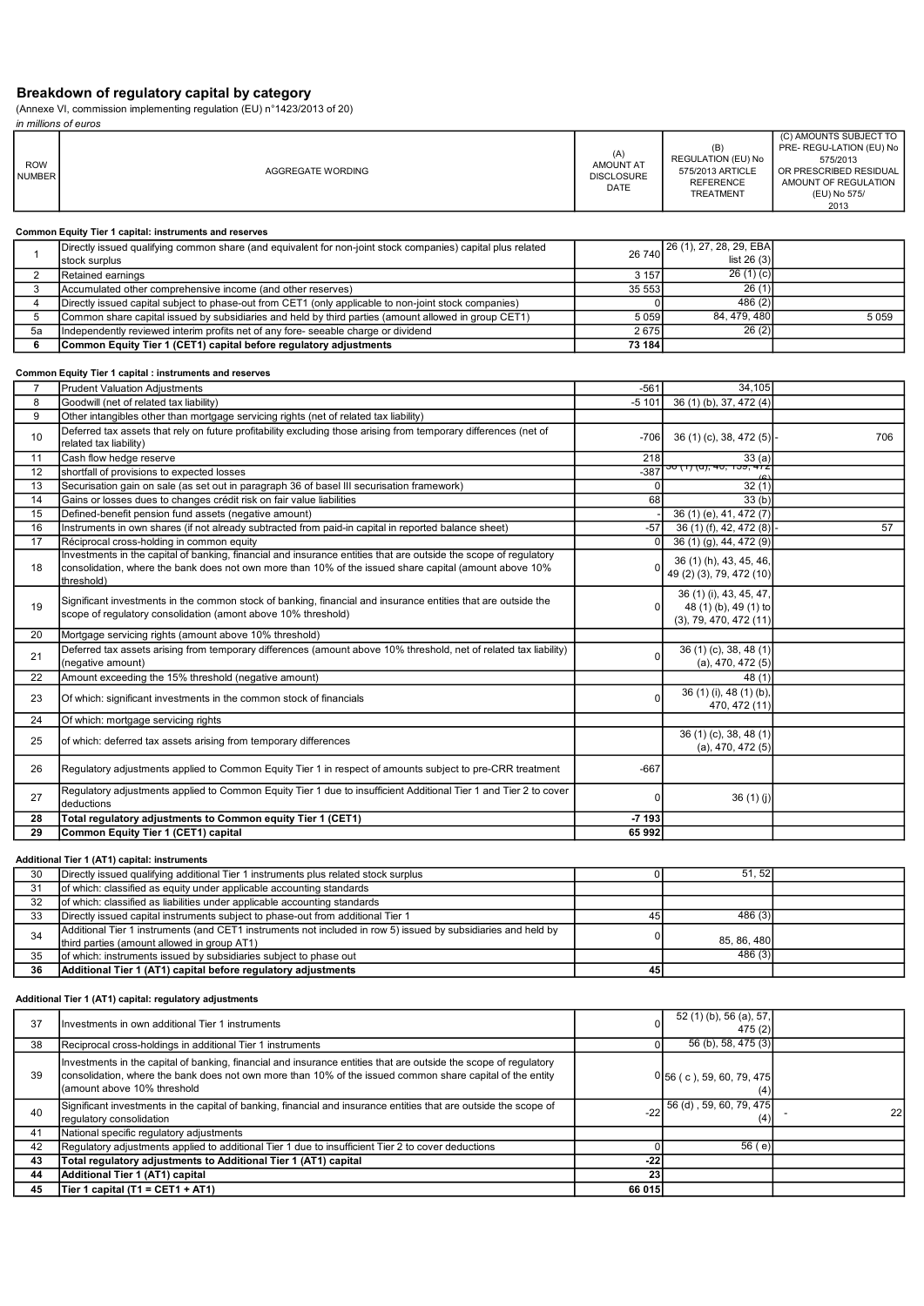# Breakdown of regulatory capital by category

|                             | (Annexe VI, commission implementing regulation (EU) n°1423/2013 of 20)<br>in millions of euros                                                                                                                                           |                                               |                                                                                              |                                                                                                                                          |
|-----------------------------|------------------------------------------------------------------------------------------------------------------------------------------------------------------------------------------------------------------------------------------|-----------------------------------------------|----------------------------------------------------------------------------------------------|------------------------------------------------------------------------------------------------------------------------------------------|
| <b>ROW</b><br><b>NUMBER</b> | AGGREGATE WORDING                                                                                                                                                                                                                        | (A)<br>AMOUNT AT<br><b>DISCLOSURE</b><br>DATE | (B)<br><b>REGULATION (EU) No</b><br>575/2013 ARTICLE<br><b>REFERENCE</b><br><b>TREATMENT</b> | (C) AMOUNTS SUBJECT TO<br>PRE- REGU-LATION (EU) No<br>575/2013<br>OR PRESCRIBED RESIDUAL<br>AMOUNT OF REGULATION<br>(EU) No 575/<br>2013 |
|                             | Common Equity Tier 1 capital: instruments and reserves                                                                                                                                                                                   |                                               |                                                                                              |                                                                                                                                          |
| $\mathbf{1}$                | Directly issued qualifying common share (and equivalent for non-joint stock companies) capital plus related<br>stock surplus                                                                                                             | 26 740                                        | 26 (1), 27, 28, 29, EBA<br>list $26(3)$                                                      |                                                                                                                                          |
| $\overline{2}$              | Retained earnings                                                                                                                                                                                                                        | 3 1 5 7                                       | 26(1)(c)                                                                                     |                                                                                                                                          |
| 3                           | Accumulated other comprehensive income (and other reserves)                                                                                                                                                                              | 35 553                                        | 26(1)                                                                                        |                                                                                                                                          |
| $\overline{4}$              | Directly issued capital subject to phase-out from CET1 (only applicable to non-joint stock companies)                                                                                                                                    | $\mathbf 0$                                   | 486 (2)                                                                                      |                                                                                                                                          |
| 5                           | Common share capital issued by subsidiaries and held by third parties (amount allowed in group CET1)                                                                                                                                     | 5 0 5 9                                       | 84, 479, 480                                                                                 | 5 0 5 9                                                                                                                                  |
| 5a                          | Independently reviewed interim profits net of any fore- seeable charge or dividend                                                                                                                                                       | 2675                                          | 26(2)                                                                                        |                                                                                                                                          |
| 6                           | Common Equity Tier 1 (CET1) capital before regulatory adjustments                                                                                                                                                                        | 73 184                                        |                                                                                              |                                                                                                                                          |
|                             | Common Equity Tier 1 capital : instruments and reserves                                                                                                                                                                                  |                                               |                                                                                              |                                                                                                                                          |
| 7                           | <b>Prudent Valuation Adjustments</b>                                                                                                                                                                                                     | $-561$                                        | 34,105                                                                                       |                                                                                                                                          |
| 8                           | Goodwill (net of related tax liability)                                                                                                                                                                                                  | $-5101$                                       | 36 (1) (b), 37, 472 (4)                                                                      |                                                                                                                                          |
| 9                           | Other intangibles other than mortgage servicing rights (net of related tax liability)                                                                                                                                                    |                                               |                                                                                              |                                                                                                                                          |
| 10                          | Deferred tax assets that rely on future profitability excluding those arising from temporary differences (net of<br>related tax liability)                                                                                               | $-706$                                        | 36 (1) (c), 38, 472 (5)                                                                      | 706                                                                                                                                      |
| 11                          | Cash flow hedge reserve                                                                                                                                                                                                                  | 218                                           | 33(a)                                                                                        |                                                                                                                                          |
| 12                          | shortfall of provisions to expected losses                                                                                                                                                                                               | $-387$                                        | <del>o (1) (u), 40, 159, 4</del>                                                             |                                                                                                                                          |
| 13                          | Securisation gain on sale (as set out in paragraph 36 of basel III securisation framework)                                                                                                                                               | $\mathbf 0$                                   | 32(1)                                                                                        |                                                                                                                                          |
| 14                          | Gains or losses dues to changes crédit risk on fair value liabilities                                                                                                                                                                    | 68                                            | 33(b)                                                                                        |                                                                                                                                          |
| 15                          | Defined-benefit pension fund assets (negative amount)                                                                                                                                                                                    |                                               | 36 (1) (e), 41, 472 (7)                                                                      |                                                                                                                                          |
| 16                          | Instruments in own shares (if not already subtracted from paid-in capital in reported balance sheet)                                                                                                                                     | $-57$                                         | 36 (1) (f), 42, 472 (8)                                                                      | 57                                                                                                                                       |
| 17                          | Réciprocal cross-holding in common equity                                                                                                                                                                                                | $\mathbf 0$                                   | 36 (1) (g), 44, 472 (9)                                                                      |                                                                                                                                          |
| 18                          | Investments in the capital of banking, financial and insurance entities that are outside the scope of regulatory<br>consolidation, where the bank does not own more than 10% of the issued share capital (amount above 10%<br>(threshold | $\Omega$                                      | 36 (1) (h), 43, 45, 46,<br>49 (2) (3), 79, 472 (10)                                          |                                                                                                                                          |
| 19                          | Significant investments in the common stock of banking, financial and insurance entities that are outside the<br>scope of regulatory consolidation (amont above 10% threshold)                                                           | $\mathbf 0$                                   | 36 (1) (i), 43, 45, 47,<br>48 (1) (b), 49 (1) to<br>(3), 79, 470, 472(11)                    |                                                                                                                                          |
| 20                          | Mortgage servicing rights (amount above 10% threshold)                                                                                                                                                                                   |                                               |                                                                                              |                                                                                                                                          |
| 21                          | Deferred tax assets arising from temporary differences (amount above 10% threshold, net of related tax liability)<br>(negative amount)                                                                                                   | $\mathbf 0$                                   | 36 (1) (c), 38, 48 (1)<br>(a), 470, 472(5)                                                   |                                                                                                                                          |
| 22                          | Amount exceeding the 15% threshold (negative amount)                                                                                                                                                                                     |                                               | 48 (1)                                                                                       |                                                                                                                                          |
| 23                          | Of which: significant investments in the common stock of financials                                                                                                                                                                      | $\mathbf 0$                                   | 36 (1) (i), 48 (1) (b),<br>470, 472 (11)                                                     |                                                                                                                                          |
| 24                          | Of which: mortgage servicing rights                                                                                                                                                                                                      |                                               |                                                                                              |                                                                                                                                          |
| 25                          | of which: deferred tax assets arising from temporary differences                                                                                                                                                                         |                                               | 36 (1) (c), 38, 48 (1)<br>$(a)$ , 470, 472 $(5)$                                             |                                                                                                                                          |
| 26                          | Regulatory adjustments applied to Common Equity Tier 1 in respect of amounts subject to pre-CRR treatment                                                                                                                                | $-667$                                        |                                                                                              |                                                                                                                                          |
| 27                          | Regulatory adjustments applied to Common Equity Tier 1 due to insufficient Additional Tier 1 and Tier 2 to cover<br>deductions                                                                                                           | $\mathbf 0$                                   | 36(1)(j)                                                                                     |                                                                                                                                          |
| 28                          | Total regulatory adjustments to Common equity Tier 1 (CET1)                                                                                                                                                                              | $-7193$                                       |                                                                                              |                                                                                                                                          |
| 29                          | Common Equity Tier 1 (CET1) capital                                                                                                                                                                                                      | 65992                                         |                                                                                              |                                                                                                                                          |
|                             | Additional Tier 1 (AT1) capital: instruments                                                                                                                                                                                             |                                               |                                                                                              |                                                                                                                                          |
| 30                          | Directly issued qualifying additional Tier 1 instruments plus related stock surplus                                                                                                                                                      | $\mathbf 0$                                   | 51, 52                                                                                       |                                                                                                                                          |
| 31                          | of which: classified as equity under applicable accounting standards                                                                                                                                                                     |                                               |                                                                                              |                                                                                                                                          |
| $\overline{32}$             | of which: classified as liabilities under applicable accounting standards                                                                                                                                                                |                                               |                                                                                              |                                                                                                                                          |

| let minerit elabelitea ab equity attact applicable aboomiting clattaatac                                      |        |                       |
|---------------------------------------------------------------------------------------------------------------|--------|-----------------------|
| of which: classified as liabilities under applicable accounting standards                                     |        |                       |
| Directly issued capital instruments subject to phase-out from additional Tier 1                               | 486(3) |                       |
| Additional Tier 1 instruments (and CET1 instruments not included in row 5) issued by subsidiaries and held by |        |                       |
| Ithird parties (amount allowed in group AT1)                                                                  |        |                       |
| of which: instruments issued by subsidiaries subiect to phase out                                             | 486(3) |                       |
| Additional Tier 1 (AT1) capital before regulatory adjustments                                                 |        |                       |
|                                                                                                               |        | 45<br>85.86.480<br>45 |

### Additional Tier 1 (AT1) capital: regulatory adjustments

| 37 | Investments in own additional Tier 1 instruments                                                                                                                                                                                                             | ٥I     | 52 (1) (b), 56 (a), 57,<br>475(2)                          |     |
|----|--------------------------------------------------------------------------------------------------------------------------------------------------------------------------------------------------------------------------------------------------------------|--------|------------------------------------------------------------|-----|
| 38 | Reciprocal cross-holdings in additional Tier 1 instruments                                                                                                                                                                                                   |        | 56 (b), 58, 475 (3)                                        |     |
| 39 | Investments in the capital of banking, financial and insurance entities that are outside the scope of regulatory<br>consolidation, where the bank does not own more than 10% of the issued common share capital of the entity<br>(amount above 10% threshold |        | $0$ 56 (c), 59, 60, 79, 475<br>(4)                         |     |
| 40 | Significant investments in the capital of banking, financial and insurance entities that are outside the scope of<br>regulatory consolidation                                                                                                                |        | $-22\left  \frac{56(1, 59, 60, 79, 475)}{2}\right $<br>(4) | 22I |
| 41 | National specific regulatory adjustments                                                                                                                                                                                                                     |        |                                                            |     |
| 42 | Regulatory adjustments applied to additional Tier 1 due to insufficient Tier 2 to cover deductions                                                                                                                                                           |        | 56(e)                                                      |     |
| 43 | Total regulatory adjustments to Additional Tier 1 (AT1) capital                                                                                                                                                                                              | $-22$  |                                                            |     |
| 44 | Additional Tier 1 (AT1) capital                                                                                                                                                                                                                              | 23     |                                                            |     |
| 45 | Tier 1 capital (T1 = CET1 + AT1)                                                                                                                                                                                                                             | 66 015 |                                                            |     |